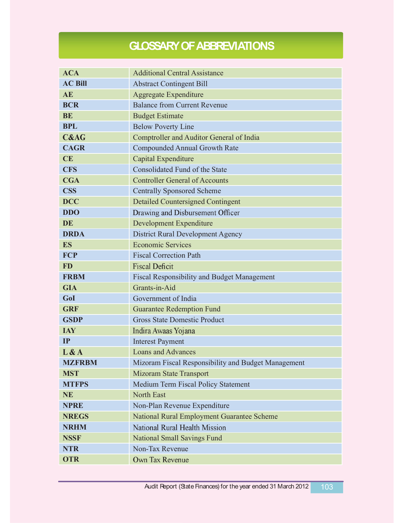## **GLOSSARY OF ABBREVIATIONS**

| <b>ACA</b>      | <b>Additional Central Assistance</b>                |
|-----------------|-----------------------------------------------------|
| <b>AC Bill</b>  | <b>Abstract Contingent Bill</b>                     |
| <b>AE</b>       | <b>Aggregate Expenditure</b>                        |
| <b>BCR</b>      | <b>Balance from Current Revenue</b>                 |
| <b>BE</b>       | <b>Budget Estimate</b>                              |
| <b>BPL</b>      | <b>Below Poverty Line</b>                           |
| <b>C&amp;AG</b> | Comptroller and Auditor General of India            |
| <b>CAGR</b>     | <b>Compounded Annual Growth Rate</b>                |
| CE              | Capital Expenditure                                 |
| <b>CFS</b>      | Consolidated Fund of the State                      |
| <b>CGA</b>      | <b>Controller General of Accounts</b>               |
| <b>CSS</b>      | <b>Centrally Sponsored Scheme</b>                   |
| <b>DCC</b>      | <b>Detailed Countersigned Contingent</b>            |
| <b>DDO</b>      | Drawing and Disbursement Officer                    |
| <b>DE</b>       | <b>Development Expenditure</b>                      |
| <b>DRDA</b>     | <b>District Rural Development Agency</b>            |
| <b>ES</b>       | <b>Economic Services</b>                            |
| <b>FCP</b>      | <b>Fiscal Correction Path</b>                       |
| <b>FD</b>       | <b>Fiscal Deficit</b>                               |
| <b>FRBM</b>     | <b>Fiscal Responsibility and Budget Management</b>  |
| <b>GIA</b>      | Grants-in-Aid                                       |
| GoI             | Government of India                                 |
| <b>GRF</b>      | <b>Guarantee Redemption Fund</b>                    |
| <b>GSDP</b>     | <b>Gross State Domestic Product</b>                 |
| <b>IAY</b>      | Indira Awaas Yojana                                 |
| IP              | <b>Interest Payment</b>                             |
| L & A           | <b>Loans and Advances</b>                           |
| <b>MZFRBM</b>   | Mizoram Fiscal Responsibility and Budget Management |
| <b>MST</b>      | <b>Mizoram State Transport</b>                      |
| <b>MTFPS</b>    | Medium Term Fiscal Policy Statement                 |
| <b>NE</b>       | North East                                          |
| <b>NPRE</b>     | Non-Plan Revenue Expenditure                        |
| <b>NREGS</b>    | National Rural Employment Guarantee Scheme          |
| <b>NRHM</b>     | National Rural Health Mission                       |
| <b>NSSF</b>     | <b>National Small Savings Fund</b>                  |
| <b>NTR</b>      | Non-Tax Revenue                                     |
| <b>OTR</b>      | Own Tax Revenue                                     |